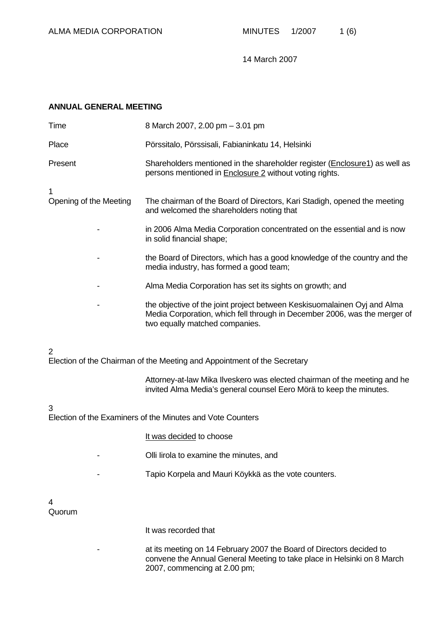# **ANNUAL GENERAL MEETING**

| Time                   | 8 March 2007, 2.00 pm - 3.01 pm                                                                                                                                                         |
|------------------------|-----------------------------------------------------------------------------------------------------------------------------------------------------------------------------------------|
| Place                  | Pörssitalo, Pörssisali, Fabianinkatu 14, Helsinki                                                                                                                                       |
| Present                | Shareholders mentioned in the shareholder register (Enclosure1) as well as<br>persons mentioned in <b>Enclosure 2</b> without voting rights.                                            |
| 1                      |                                                                                                                                                                                         |
| Opening of the Meeting | The chairman of the Board of Directors, Kari Stadigh, opened the meeting<br>and welcomed the shareholders noting that                                                                   |
|                        | in 2006 Alma Media Corporation concentrated on the essential and is now<br>in solid financial shape;                                                                                    |
|                        | the Board of Directors, which has a good knowledge of the country and the<br>media industry, has formed a good team;                                                                    |
|                        | Alma Media Corporation has set its sights on growth; and                                                                                                                                |
|                        | the objective of the joint project between Keskisuomalainen Oyj and Alma<br>Media Corporation, which fell through in December 2006, was the merger of<br>two equally matched companies. |
| $\overline{2}$         | Election of the Chairman of the Meeting and Appointment of the Secretary                                                                                                                |
|                        |                                                                                                                                                                                         |

Attorney-at-law Mika Ilveskero was elected chairman of the meeting and he invited Alma Media's general counsel Eero Mörä to keep the minutes.

#### 3

Election of the Examiners of the Minutes and Vote Counters

- It was decided to choose
- Olli Iirola to examine the minutes, and
- Tapio Korpela and Mauri Köykkä as the vote counters.

#### 4 Quorum

It was recorded that

- at its meeting on 14 February 2007 the Board of Directors decided to convene the Annual General Meeting to take place in Helsinki on 8 March 2007, commencing at 2.00 pm;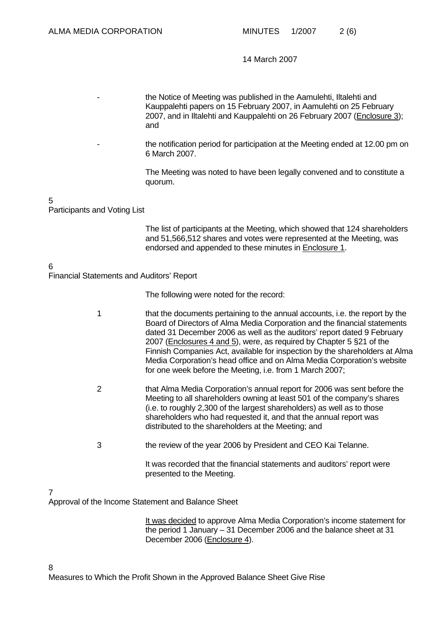the Notice of Meeting was published in the Aamulehti, Iltalehti and Kauppalehti papers on 15 February 2007, in Aamulehti on 25 February 2007, and in Iltalehti and Kauppalehti on 26 February 2007 (Enclosure 3); and

the notification period for participation at the Meeting ended at 12.00 pm on 6 March 2007.

The Meeting was noted to have been legally convened and to constitute a quorum.

5

Participants and Voting List

The list of participants at the Meeting, which showed that 124 shareholders and 51,566,512 shares and votes were represented at the Meeting, was endorsed and appended to these minutes in Enclosure 1.

6

Financial Statements and Auditors' Report

The following were noted for the record:

- 1 that the documents pertaining to the annual accounts, i.e. the report by the Board of Directors of Alma Media Corporation and the financial statements dated 31 December 2006 as well as the auditors' report dated 9 February 2007 (Enclosures 4 and 5), were, as required by Chapter 5 §21 of the Finnish Companies Act, available for inspection by the shareholders at Alma Media Corporation's head office and on Alma Media Corporation's website for one week before the Meeting, i.e. from 1 March 2007;
- 2 that Alma Media Corporation's annual report for 2006 was sent before the Meeting to all shareholders owning at least 501 of the company's shares (i.e. to roughly 2,300 of the largest shareholders) as well as to those shareholders who had requested it, and that the annual report was distributed to the shareholders at the Meeting; and
- 3 the review of the year 2006 by President and CEO Kai Telanne.

It was recorded that the financial statements and auditors' report were presented to the Meeting.

#### 7

Approval of the Income Statement and Balance Sheet

It was decided to approve Alma Media Corporation's income statement for the period 1 January – 31 December 2006 and the balance sheet at 31 December 2006 (Enclosure 4).

Measures to Which the Profit Shown in the Approved Balance Sheet Give Rise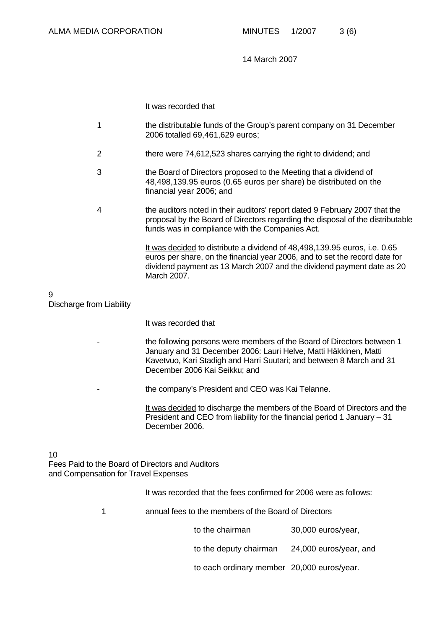It was recorded that

- 1 the distributable funds of the Group's parent company on 31 December 2006 totalled 69,461,629 euros;
- 2 there were 74,612,523 shares carrying the right to dividend; and
- 3 the Board of Directors proposed to the Meeting that a dividend of 48,498,139.95 euros (0.65 euros per share) be distributed on the financial year 2006; and
- 4 the auditors noted in their auditors' report dated 9 February 2007 that the proposal by the Board of Directors regarding the disposal of the distributable funds was in compliance with the Companies Act.

It was decided to distribute a dividend of 48,498,139.95 euros, i.e. 0.65 euros per share, on the financial year 2006, and to set the record date for dividend payment as 13 March 2007 and the dividend payment date as 20 March 2007.

# 9

Discharge from Liability

It was recorded that

- the following persons were members of the Board of Directors between 1 January and 31 December 2006: Lauri Helve, Matti Häkkinen, Matti Kavetvuo, Kari Stadigh and Harri Suutari; and between 8 March and 31 December 2006 Kai Seikku; and
- the company's President and CEO was Kai Telanne.

It was decided to discharge the members of the Board of Directors and the President and CEO from liability for the financial period 1 January – 31 December 2006.

#### 10

Fees Paid to the Board of Directors and Auditors and Compensation for Travel Expenses

It was recorded that the fees confirmed for 2006 were as follows:

1 annual fees to the members of the Board of Directors

to the chairman 30,000 euros/year,

to the deputy chairman 24,000 euros/year, and

to each ordinary member 20,000 euros/year.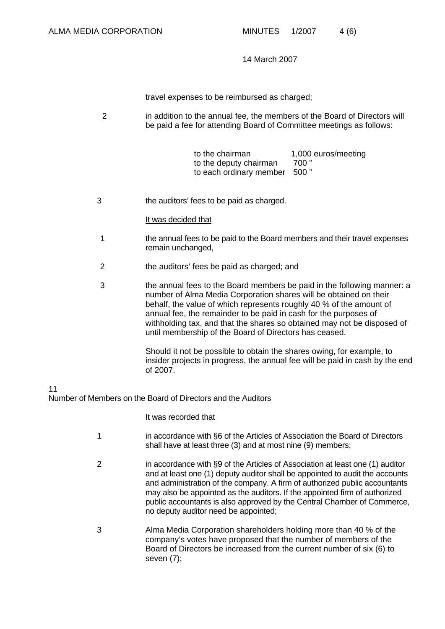travel expenses to be reimbursed as charged;

2 in addition to the annual fee, the members of the Board of Directors will be paid a fee for attending Board of Committee meetings as follows:

> to the chairman 1,000 euros/meeting<br>to the deputy chairman 700" to the deputy chairman to each ordinary member 500 "

3 the auditors' fees to be paid as charged.

#### It was decided that

- 1 the annual fees to be paid to the Board members and their travel expenses remain unchanged,
- 2 the auditors' fees be paid as charged; and
- 3 the annual fees to the Board members be paid in the following manner: a number of Alma Media Corporation shares will be obtained on their behalf, the value of which represents roughly 40 % of the amount of annual fee, the remainder to be paid in cash for the purposes of withholding tax, and that the shares so obtained may not be disposed of until membership of the Board of Directors has ceased.

Should it not be possible to obtain the shares owing, for example, to insider projects in progress, the annual fee will be paid in cash by the end of 2007.

#### 11

Number of Members on the Board of Directors and the Auditors

It was recorded that

- 1 in accordance with §6 of the Articles of Association the Board of Directors shall have at least three (3) and at most nine (9) members;
- 2 in accordance with §9 of the Articles of Association at least one (1) auditor and at least one (1) deputy auditor shall be appointed to audit the accounts and administration of the company. A firm of authorized public accountants may also be appointed as the auditors. If the appointed firm of authorized public accountants is also approved by the Central Chamber of Commerce, no deputy auditor need be appointed;
- 3 Alma Media Corporation shareholders holding more than 40 % of the company's votes have proposed that the number of members of the Board of Directors be increased from the current number of six (6) to seven (7);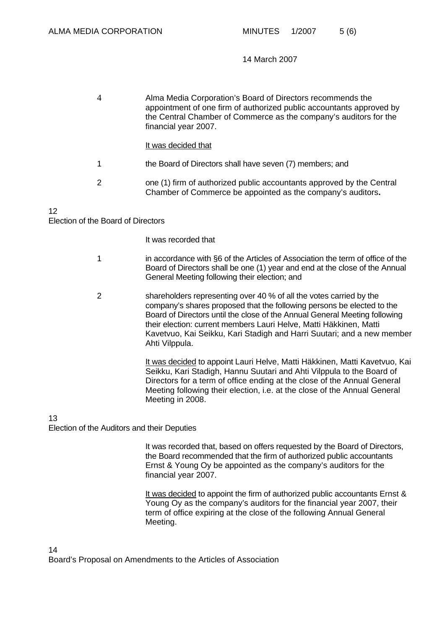| 4 | Alma Media Corporation's Board of Directors recommends the<br>appointment of one firm of authorized public accountants approved by<br>the Central Chamber of Commerce as the company's auditors for the<br>financial year 2007. |
|---|---------------------------------------------------------------------------------------------------------------------------------------------------------------------------------------------------------------------------------|
|   | It was decided that                                                                                                                                                                                                             |
| 1 | the Board of Directors shall have seven (7) members; and                                                                                                                                                                        |
| 2 | one (1) firm of authorized public accountants approved by the Central<br>Chamber of Commerce be appointed as the company's auditors.                                                                                            |

# 12

### Election of the Board of Directors

It was recorded that

- 1 in accordance with §6 of the Articles of Association the term of office of the Board of Directors shall be one (1) year and end at the close of the Annual General Meeting following their election; and
- 2 shareholders representing over 40 % of all the votes carried by the company's shares proposed that the following persons be elected to the Board of Directors until the close of the Annual General Meeting following their election: current members Lauri Helve, Matti Häkkinen, Matti Kavetvuo, Kai Seikku, Kari Stadigh and Harri Suutari; and a new member Ahti Vilppula.

It was decided to appoint Lauri Helve, Matti Häkkinen, Matti Kavetvuo, Kai Seikku, Kari Stadigh, Hannu Suutari and Ahti Vilppula to the Board of Directors for a term of office ending at the close of the Annual General Meeting following their election, i.e. at the close of the Annual General Meeting in 2008.

#### 13

Election of the Auditors and their Deputies

It was recorded that, based on offers requested by the Board of Directors, the Board recommended that the firm of authorized public accountants Ernst & Young Oy be appointed as the company's auditors for the financial year 2007.

It was decided to appoint the firm of authorized public accountants Ernst & Young Oy as the company's auditors for the financial year 2007, their term of office expiring at the close of the following Annual General Meeting.